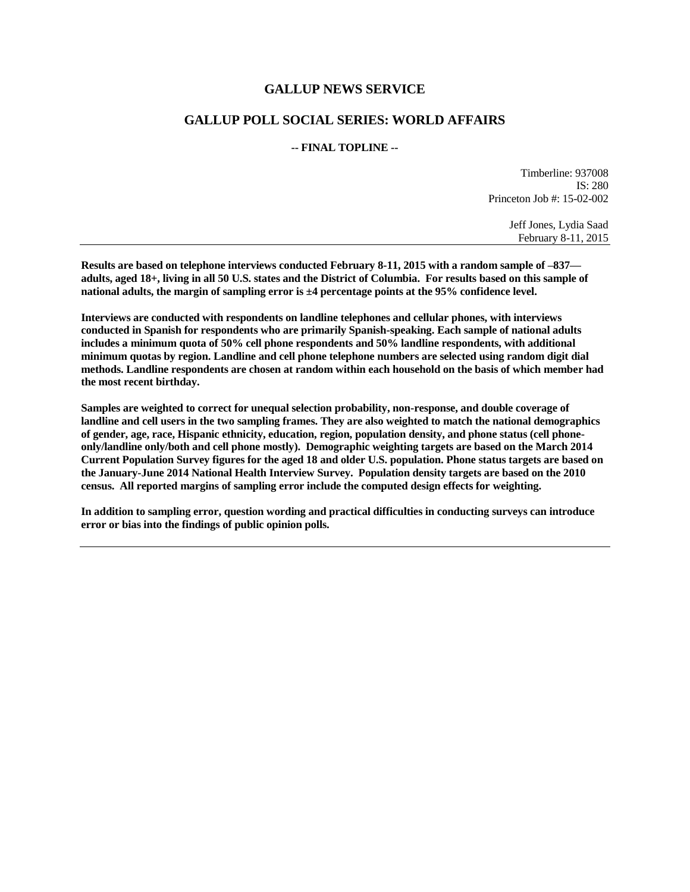## **GALLUP NEWS SERVICE**

## **GALLUP POLL SOCIAL SERIES: WORLD AFFAIRS**

### **-- FINAL TOPLINE --**

Timberline: 937008 IS: 280 Princeton Job #: 15-02-002

> Jeff Jones, Lydia Saad February 8-11, 2015

**Results are based on telephone interviews conducted February 8-11, 2015 with a random sample of –837 adults, aged 18+, living in all 50 U.S. states and the District of Columbia. For results based on this sample of national adults, the margin of sampling error is ±4 percentage points at the 95% confidence level.** 

**Interviews are conducted with respondents on landline telephones and cellular phones, with interviews conducted in Spanish for respondents who are primarily Spanish-speaking. Each sample of national adults includes a minimum quota of 50% cell phone respondents and 50% landline respondents, with additional minimum quotas by region. Landline and cell phone telephone numbers are selected using random digit dial methods. Landline respondents are chosen at random within each household on the basis of which member had the most recent birthday.**

**Samples are weighted to correct for unequal selection probability, non-response, and double coverage of landline and cell users in the two sampling frames. They are also weighted to match the national demographics of gender, age, race, Hispanic ethnicity, education, region, population density, and phone status (cell phoneonly/landline only/both and cell phone mostly). Demographic weighting targets are based on the March 2014 Current Population Survey figures for the aged 18 and older U.S. population. Phone status targets are based on the January-June 2014 National Health Interview Survey. Population density targets are based on the 2010 census. All reported margins of sampling error include the computed design effects for weighting.** 

**In addition to sampling error, question wording and practical difficulties in conducting surveys can introduce error or bias into the findings of public opinion polls.**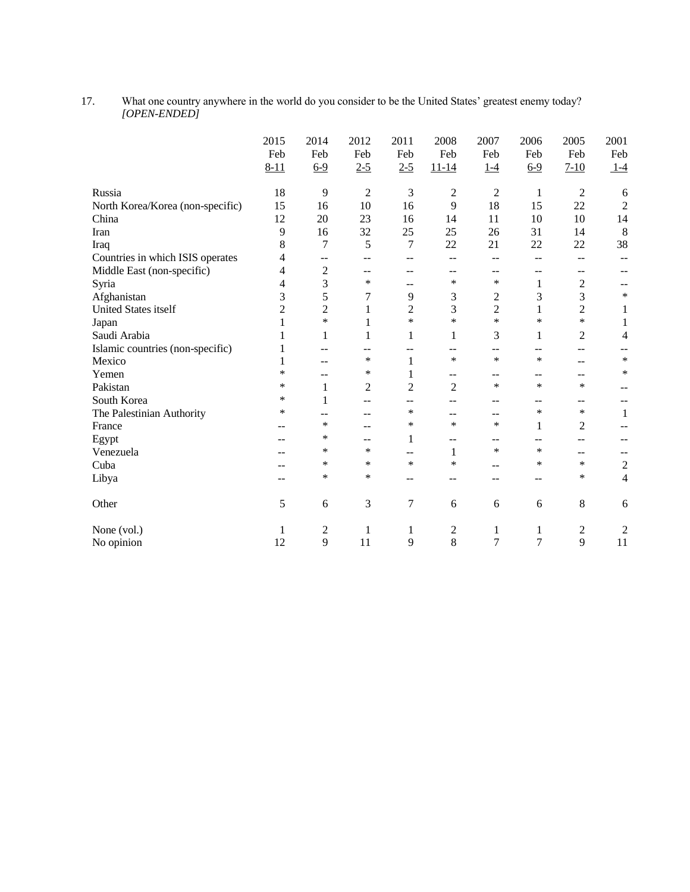17. What one country anywhere in the world do you consider to be the United States' greatest enemy today? *[OPEN-ENDED]*

|                                  | 2015<br>Feb<br>$8 - 11$ | 2014<br>Feb<br>$6 - 9$ | 2012<br>Feb<br>$2 - 5$ | 2011<br>Feb<br>$2 - 5$ | 2008<br>Feb<br>$11 - 14$ | 2007<br>Feb<br>$1 - 4$ | 2006<br>Feb<br>$6-9$ | 2005<br>Feb<br>$7 - 10$ | 2001<br>Feb<br>$1-4$ |
|----------------------------------|-------------------------|------------------------|------------------------|------------------------|--------------------------|------------------------|----------------------|-------------------------|----------------------|
| Russia                           | 18                      | 9                      | $\overline{2}$         | 3                      | $\overline{c}$           | $\overline{2}$         | 1                    | $\overline{2}$          | 6                    |
| North Korea/Korea (non-specific) | 15                      | 16                     | 10                     | 16                     | 9                        | 18                     | 15                   | 22                      | $\overline{2}$       |
| China                            | 12                      | 20                     | 23                     | 16                     | 14                       | 11                     | 10                   | 10                      | 14                   |
| Iran                             | 9                       | 16                     | 32                     | 25                     | 25                       | 26                     | 31                   | 14                      | 8                    |
| Iraq                             | 8                       | 7                      | 5                      | 7                      | 22                       | 21                     | 22                   | 22                      | 38                   |
| Countries in which ISIS operates | 4                       | --                     | --                     | --                     | $-$                      | --                     | --                   | --                      | --                   |
| Middle East (non-specific)       | 4                       | $\overline{c}$         | --                     | --                     | --                       | --                     | --                   | --                      |                      |
| Syria                            | 4                       | 3                      | $\ast$                 | $-$                    | *                        | *                      | $\mathbf{1}$         | $\overline{c}$          |                      |
| Afghanistan                      | 3                       | 5                      | 7                      | 9                      | 3                        | 2                      | 3                    | 3                       | $\ast$               |
| <b>United States itself</b>      | $\overline{c}$          | $\overline{2}$         | 1                      | $\overline{c}$         | 3                        | $\overline{2}$         | $\mathbf{1}$         | $\overline{c}$          | 1                    |
| Japan                            | 1                       | $\ast$                 | 1                      | $\ast$                 | *                        | $\ast$                 | $\ast$               | $\ast$                  | 1                    |
| Saudi Arabia                     | 1                       | 1                      | 1                      | 1                      | 1                        | 3                      | $\mathbf{1}$         | $\overline{2}$          | 4                    |
| Islamic countries (non-specific) | 1                       |                        | --                     | --                     | --                       | --                     | --                   | --                      |                      |
| Mexico                           | 1                       |                        | ∗                      | $\mathbf{1}$           | ∗                        | $\ast$                 | $\ast$               | --                      | ∗                    |
| Yemen                            | *                       | --                     | ∗                      | 1                      | --                       | --                     | --                   | --                      | $\ast$               |
| Pakistan                         | *                       | 1                      | 2                      | $\overline{2}$         | $\overline{c}$           | *                      | $\ast$               | *                       |                      |
| South Korea                      | *                       | 1                      | --                     | --                     | --                       | --                     | --                   | --                      | $- -$                |
| The Palestinian Authority        | *                       |                        | --                     | ∗                      | --                       | --                     | $\ast$               | ∗                       | 1                    |
| France                           |                         | *                      | --                     | ∗                      | *                        | *                      | 1                    | 2                       |                      |
| Egypt                            |                         | ∗                      | --                     | 1                      | --                       | --                     | --                   | --                      |                      |
| Venezuela                        |                         | *                      | ∗                      | --                     | 1                        | *                      | $\ast$               | --                      |                      |
| Cuba                             |                         | $\ast$                 | ∗                      | $\ast$                 | ∗                        | --                     | $\ast$               | ∗                       | $\overline{2}$       |
| Libya                            |                         | *                      | ∗                      | --                     | --                       | --                     | --                   | *                       | 4                    |
| Other                            | 5                       | 6                      | 3                      | $\overline{7}$         | 6                        | 6                      | 6                    | 8                       | 6                    |
| None (vol.)                      | 1                       | 2                      | 1                      | 1                      | 2                        | 1                      | 1                    | $\overline{c}$          | $\overline{c}$       |
| No opinion                       | 12                      | 9                      | 11                     | 9                      | 8                        | 7                      | 7                    | 9                       | 11                   |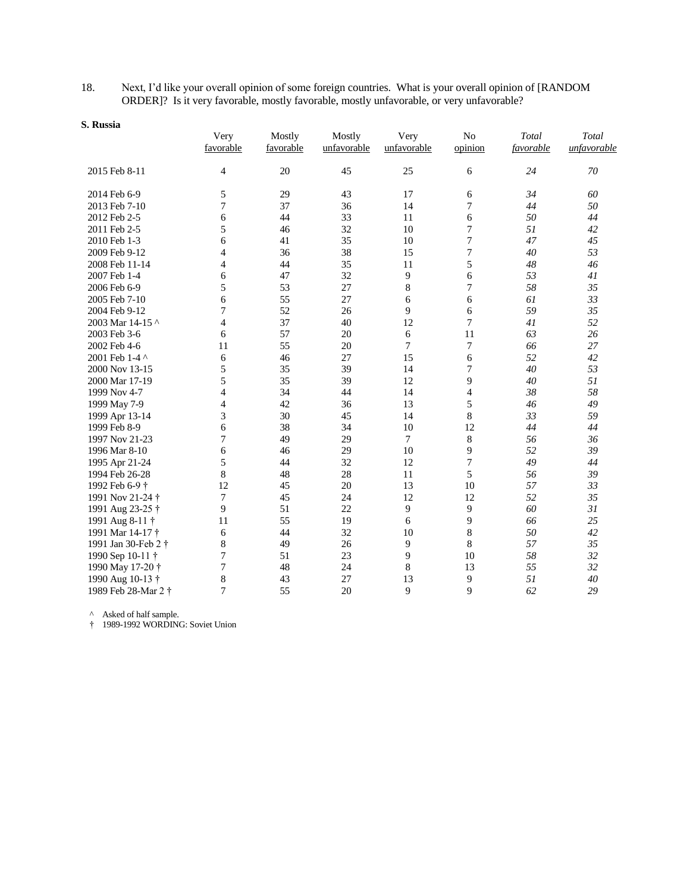18. Next, I'd like your overall opinion of some foreign countries. What is your overall opinion of [RANDOM ORDER]? Is it very favorable, mostly favorable, mostly unfavorable, or very unfavorable?

| э. пизыа            | Very           | Mostly    | Mostly      | Very        | N <sub>o</sub>   | Total     | Total       |
|---------------------|----------------|-----------|-------------|-------------|------------------|-----------|-------------|
|                     | favorable      | favorable | unfavorable | unfavorable | opinion          | favorable | unfavorable |
| 2015 Feb 8-11       | $\overline{4}$ | 20        | 45          | 25          | 6                | 24        | $70\,$      |
| 2014 Feb 6-9        | 5              | 29        | 43          | 17          | 6                | 34        | 60          |
| 2013 Feb 7-10       | 7              | 37        | 36          | 14          | 7                | 44        | 50          |
| 2012 Feb 2-5        | 6              | 44        | 33          | 11          | 6                | 50        | 44          |
| 2011 Feb 2-5        | 5              | 46        | 32          | 10          | 7                | 51        | 42          |
| 2010 Feb 1-3        | 6              | 41        | 35          | 10          | 7                | 47        | 45          |
| 2009 Feb 9-12       | $\overline{4}$ | 36        | 38          | 15          | 7                | 40        | 53          |
| 2008 Feb 11-14      | 4              | 44        | 35          | 11          | 5                | 48        | 46          |
| 2007 Feb 1-4        | 6              | 47        | 32          | 9           | 6                | 53        | 41          |
| 2006 Feb 6-9        | 5              | 53        | 27          | 8           | $\boldsymbol{7}$ | 58        | 35          |
| 2005 Feb 7-10       | 6              | 55        | 27          | 6           | 6                | 61        | 33          |
| 2004 Feb 9-12       | 7              | 52        | 26          | 9           | 6                | 59        | 35          |
| 2003 Mar 14-15 ^    | 4              | 37        | 40          | 12          | 7                | 41        | 52          |
| 2003 Feb 3-6        | 6              | 57        | 20          | 6           | 11               | 63        | 26          |
| 2002 Feb 4-6        | 11             | 55        | 20          | 7           | 7                | 66        | 27          |
| 2001 Feb 1-4 ^      | 6              | 46        | 27          | 15          | 6                | 52        | 42          |
| 2000 Nov 13-15      | 5              | 35        | 39          | 14          | 7                | 40        | 53          |
| 2000 Mar 17-19      | 5              | 35        | 39          | 12          | 9                | 40        | 51          |
| 1999 Nov 4-7        | 4              | 34        | 44          | 14          | $\overline{4}$   | 38        | 58          |
| 1999 May 7-9        | 4              | 42        | 36          | 13          | 5                | 46        | 49          |
| 1999 Apr 13-14      | 3              | 30        | 45          | 14          | $\,8\,$          | 33        | 59          |
| 1999 Feb 8-9        | 6              | 38        | 34          | 10          | 12               | 44        | 44          |
| 1997 Nov 21-23      | 7              | 49        | 29          | 7           | $\,$ 8 $\,$      | 56        | 36          |
| 1996 Mar 8-10       | 6              | 46        | 29          | 10          | 9                | 52        | 39          |
| 1995 Apr 21-24      | 5              | 44        | 32          | 12          | 7                | 49        | 44          |
| 1994 Feb 26-28      | 8              | 48        | 28          | 11          | 5                | 56        | 39          |
| 1992 Feb 6-9 †      | 12             | 45        | 20          | 13          | 10               | 57        | 33          |
| 1991 Nov 21-24 †    | 7              | 45        | 24          | 12          | 12               | 52        | 35          |
| 1991 Aug 23-25 †    | 9              | 51        | 22          | 9           | 9                | 60        | 31          |
| 1991 Aug 8-11 †     | 11             | 55        | 19          | 6           | 9                | 66        | 25          |
| 1991 Mar 14-17 †    | 6              | 44        | 32          | 10          | $\,8\,$          | 50        | 42          |
| 1991 Jan 30-Feb 2 † | 8              | 49        | 26          | 9           | 8                | 57        | 35          |
| 1990 Sep 10-11 †    | 7              | 51        | 23          | 9           | 10               | 58        | 32          |
| 1990 May 17-20 †    | 7              | 48        | 24          | $\,$ 8 $\,$ | 13               | 55        | 32          |
| 1990 Aug 10-13 †    | $\,$ 8 $\,$    | 43        | 27          | 13          | 9                | 51        | 40          |
| 1989 Feb 28-Mar 2 † | $\overline{7}$ | 55        | 20          | 9           | 9                | 62        | 29          |

**S. Russia**

^ Asked of half sample.

† 1989-1992 WORDING: Soviet Union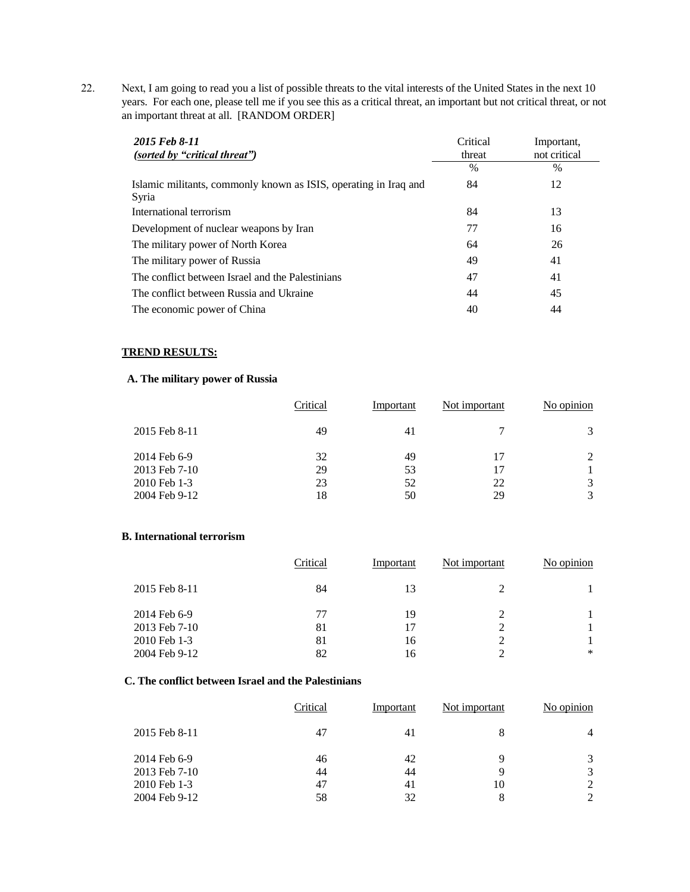22. Next, I am going to read you a list of possible threats to the vital interests of the United States in the next 10 years. For each one, please tell me if you see this as a critical threat, an important but not critical threat, or not an important threat at all. [RANDOM ORDER]

| 2015 Feb 8-11<br>(sorted by "critical threat")                            | Critical<br>threat | Important,<br>not critical |
|---------------------------------------------------------------------------|--------------------|----------------------------|
|                                                                           | $\frac{0}{0}$      | $\%$                       |
| Islamic militants, commonly known as ISIS, operating in Iraq and<br>Syria | 84                 | 12                         |
| International terrorism                                                   | 84                 | 13                         |
| Development of nuclear weapons by Iran                                    | 77                 | 16                         |
| The military power of North Korea                                         | 64                 | 26                         |
| The military power of Russia                                              | 49                 | 41                         |
| The conflict between Israel and the Palestinians                          | 47                 | 41                         |
| The conflict between Russia and Ukraine                                   | 44                 | 45                         |
| The economic power of China                                               | 40                 | 44                         |

### **TREND RESULTS:**

## **A. The military power of Russia**

|               | Critical | Important | Not important | No opinion |
|---------------|----------|-----------|---------------|------------|
| 2015 Feb 8-11 | 49       | 41        |               |            |
| 2014 Feb 6-9  | 32       | 49        |               |            |
| 2013 Feb 7-10 | 29       | 53        |               |            |
| 2010 Feb 1-3  | 23       | 52        | 22            |            |
| 2004 Feb 9-12 | 18       | 50        | 29            |            |

### **B. International terrorism**

|               | Critical | Important | Not important | No opinion |
|---------------|----------|-----------|---------------|------------|
| 2015 Feb 8-11 | 84       | 13        | າ             |            |
| 2014 Feb 6-9  | 77       | 19        | ↑             |            |
| 2013 Feb 7-10 | 81       |           | $\gamma$      |            |
| 2010 Feb 1-3  | 81       | 16        | ∍             |            |
| 2004 Feb 9-12 | 82       | 16        |               | $\ast$     |

### **C. The conflict between Israel and the Palestinians**

| Critical<br>No opinion<br>Not important<br>Important |                |
|------------------------------------------------------|----------------|
| 2015 Feb 8-11<br>47<br>8<br>41                       | $\overline{4}$ |
| 2014 Feb 6-9<br>46<br>42<br>q                        | 3              |
| 2013 Feb 7-10<br>44<br>44<br>9                       | 3              |
| 2010 Feb 1-3<br>47<br>10<br>41                       | 2              |
| 2004 Feb 9-12<br>58<br>32<br>8                       | 2              |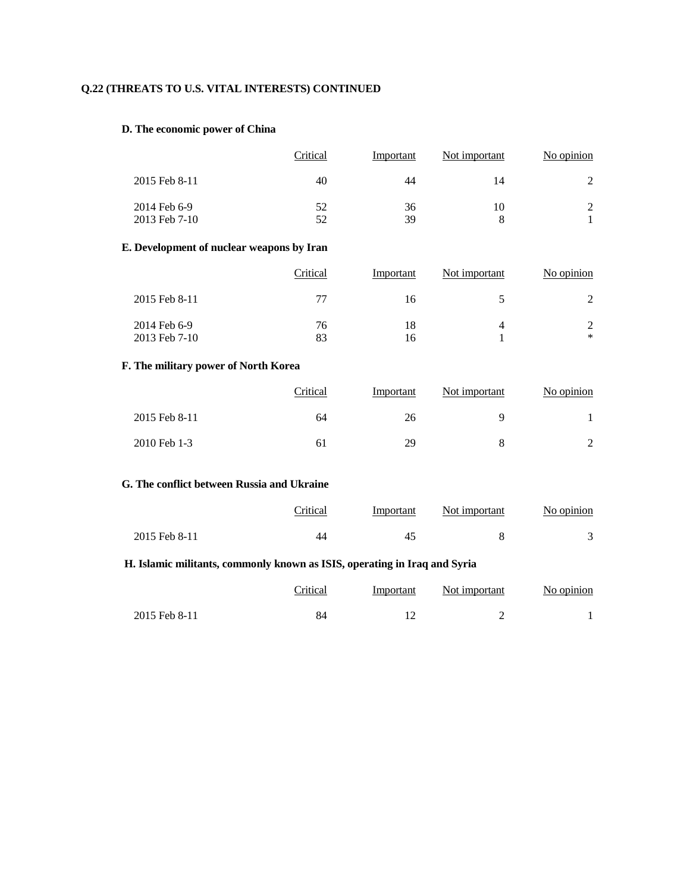# **Q.22 (THREATS TO U.S. VITAL INTERESTS) CONTINUED**

## **D. The economic power of China**

|               | Critical | Important | Not important | No opinion    |
|---------------|----------|-----------|---------------|---------------|
| 2015 Feb 8-11 | 40       | 44        |               |               |
| 2014 Feb 6-9  | 52       | 36        | 10            | $\mathcal{D}$ |
| 2013 Feb 7-10 | 52       | 39        |               |               |

### **E. Development of nuclear weapons by Iran**

|                               | Critical | Important | Not important | No opinion  |
|-------------------------------|----------|-----------|---------------|-------------|
| 2015 Feb 8-11                 | 77       | 16        |               |             |
| 2014 Feb 6-9<br>2013 Feb 7-10 | 76<br>83 | 18<br>16  |               | 2<br>$\ast$ |

# **F. The military power of North Korea**

|                | Critical | Important | Not important | No opinion |
|----------------|----------|-----------|---------------|------------|
| 2015 Feb 8-11  | 64       | 26        |               |            |
| $2010$ Feb 1-3 | 61       | 29        |               |            |

# **G. The conflict between Russia and Ukraine**

|               | <b>Tritical</b> | Important | Not important | No opinion |
|---------------|-----------------|-----------|---------------|------------|
| 2015 Feb 8-11 | 44              |           |               |            |

## **H. Islamic militants, commonly known as ISIS, operating in Iraq and Syria**

|               | Critical | Important | Not important | No opinion |
|---------------|----------|-----------|---------------|------------|
| 2015 Feb 8-11 |          |           |               |            |